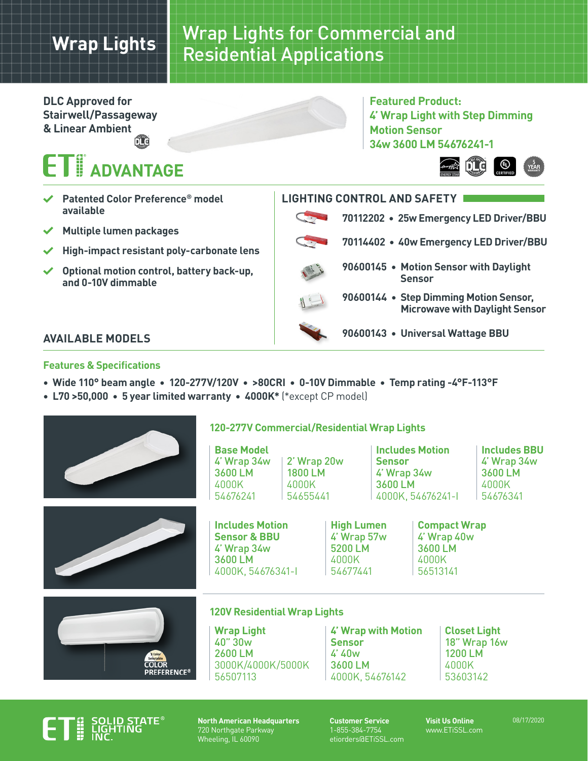## **Wrap Lights**

### Wrap Lights for Commercial and Residential Applications

**DLC Approved for Stairwell/Passageway & Linear Ambientfit** 

# **THE ADVANTAGE**

- **Patented Color Preference® model available**
- **Multiple lumen packages**
- **High-impact resistant poly-carbonate lens**
- **Optional motion control, battery back-up, and 0-10V dimmable**

### **AVAILABLE MODELS**

### **Features & Specifications**

- **Wide 110° beam angle 120-277V/120V >80CRI 0-10V Dimmable Temp rating -4°F-113°F**
- **L70 >50,000 5 year limited warranty 4000K\*** (\*except CP model)



### **120-277V Commercial/Residential Wrap Lights**

**Base Model** 4' Wrap 34w 3600 LM 4000K 54676241 4000K

**Includes Motion Sensor & BBU** 4' Wrap 34w 3600 LM

4000K, 54676341-I

2' Wrap 20w 1800 LM 54655441

**Includes Motion Sensor** 4' Wrap 34w 3600 LM 4000K, 54676241-I

**Includes BBU** 4' Wrap 34w 3600 LM 4000K 54676341





#### **120V Residential Wrap Lights**

**Wrap Light** 40" 30w 2600 LM 3000K/4000K/5000K 56507113

**4' Wrap with Motion Sensor** 4' 40w 3600 LM 4000K, 54676142

**High Lumen** 4' Wrap 57w 5200 LM 4000K 54677441

> **Closet Light** 18" Wrap 16w 1200 LM 4000K 53603142



**North American Headquarters** 720 Northgate Parkway Wheeling, IL 60090

**Customer Service** 1-855-384-7754 etiorders@ETiSSL.com **Visit Us Online** www.ETiSSL.com

**Compact Wrap** 4' Wrap 40w 3600 LM 4000K 56513141

08/17/2020

|  | 90600145 • Motion Sensor with Daylight<br><b>Sensor</b>                         |
|--|---------------------------------------------------------------------------------|
|  | 90600144 • Step Dimming Motion Sensor,<br><b>Microwave with Daylight Sensor</b> |
|  | 90600143 • Universal Wattage BBU                                                |
|  |                                                                                 |

**Featured Product:**

**34w 3600 LM 54676241-1**

**70112202 • 25w Emergency LED Driver/BBU**

**70114402 • 40w Emergency LED Driver/BBU**

**Motion Sensor**

**LIGHTING CONTROL AND SAFETY**

**4' Wrap Light with Step Dimming**